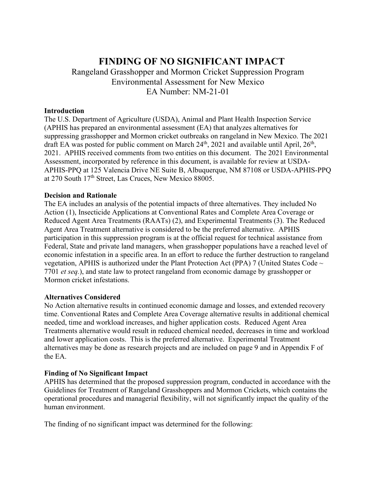# **FINDING OF NO SIGNIFICANT IMPACT**

## Rangeland Grasshopper and Mormon Cricket Suppression Program Environmental Assessment for New Mexico EA Number: NM-21-01

#### **Introduction**

The U.S. Department of Agriculture (USDA), Animal and Plant Health Inspection Service (APHIS has prepared an environmental assessment (EA) that analyzes alternatives for suppressing grasshopper and Mormon cricket outbreaks on rangeland in New Mexico. The 2021 draft EA was posted for public comment on March  $24<sup>th</sup>$ , 2021 and available until April,  $26<sup>th</sup>$ , 2021. APHIS received comments from two entities on this document. The 2021 Environmental Assessment, incorporated by reference in this document, is available for review at USDA-APHIS-PPQ at 125 Valencia Drive NE Suite B, Albuquerque, NM 87108 or USDA-APHIS-PPQ at 270 South 17th Street, Las Cruces, New Mexico 88005.

#### **Decision and Rationale**

The EA includes an analysis of the potential impacts of three alternatives. They included No Action (1), Insecticide Applications at Conventional Rates and Complete Area Coverage or Reduced Agent Area Treatments (RAATs) (2), and Experimental Treatments (3). The Reduced Agent Area Treatment alternative is considered to be the preferred alternative. APHIS participation in this suppression program is at the official request for technical assistance from Federal, State and private land managers, when grasshopper populations have a reached level of economic infestation in a specific area. In an effort to reduce the further destruction to rangeland vegetation, APHIS is authorized under the Plant Protection Act (PPA) 7 (United States Code ~ 7701 *et seq.*), and state law to protect rangeland from economic damage by grasshopper or Mormon cricket infestations.

#### **Alternatives Considered**

No Action alternative results in continued economic damage and losses, and extended recovery time. Conventional Rates and Complete Area Coverage alternative results in additional chemical needed, time and workload increases, and higher application costs. Reduced Agent Area Treatments alternative would result in reduced chemical needed, decreases in time and workload and lower application costs. This is the preferred alternative. Experimental Treatment alternatives may be done as research projects and are included on page 9 and in Appendix F of the EA.

### **Finding of No Significant Impact**

APHIS has determined that the proposed suppression program, conducted in accordance with the Guidelines for Treatment of Rangeland Grasshoppers and Mormon Crickets, which contains the operational procedures and managerial flexibility, will not significantly impact the quality of the human environment.

The finding of no significant impact was determined for the following: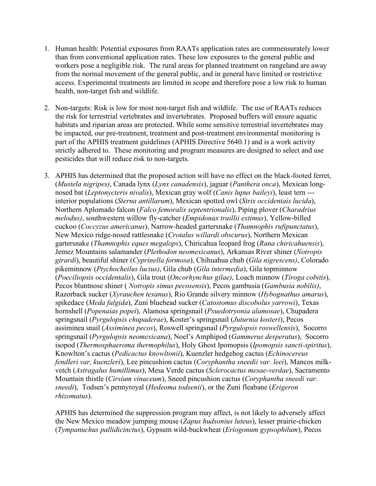- 1. Human health: Potential exposures from RAATs application rates are commensurately lower than from conventional application rates. These low exposures to the general public and workers pose a negligible risk. The rural areas for planned treatment on rangeland are away from the normal movement of the general public, and in general have limited or restrictive access. Experimental treatments are limited in scope and therefore pose a low risk to human health, non-target fish and wildlife.
- 2. Non-targets: Risk is low for most non-target fish and wildlife. The use of RAATs reduces the risk for terrestrial vertebrates and invertebrates. Proposed buffers will ensure aquatic habitats and riparian areas are protected. While some sensitive terrestrial invertebrates may be impacted, our pre-treatment, treatment and post-treatment environmental monitoring is part of the APHIS treatment guidelines (APHIS Directive 5640.1) and is a work activity strictly adhered to. These monitoring and program measures are designed to select and use pesticides that will reduce risk to non-targets.
- 3. APHIS has determined that the proposed action will have no effect on the black-footed ferret, (*Mustela nigripes)*, Canada lynx (*Lynx canadensis*), jaguar (*Panthera onca*), Mexican longnosed bat (*Leptonycteris nivalis*), Mexican gray wolf (*Canis lupus baileyi*), least tern -- interior populations (*Sterna antillarum*), Mexican spotted owl (*Strix occidentais lucida*), Northern Aplomado falcon (*Falco femoralis septentrionalis*), Piping plover (*Charadrius melodus)*, southwestern willow fly-catcher (*Empidonax traillii extimus*), Yellow-billed cuckoo (*Coccyzus americanus*), Narrow-headed gartersnake (*Thamnophis rufipunctatus*), New Mexico ridge-nosed rattlesnake (*Crotalus willardi obscurus*), Northern Mexican gartersnake (*Thamnophis eques megalops*), Chiricahua leopard frog (*Rana chiricahuensis*), Jemez Mountains salamander (*Plethodon neomexicanus*), Arkansas River shiner (*Notropis girardi*), beautiful shiner (*Cyprinella formosa*), Chihuahua chub (*Gila nigrescens)*, Colorado pikeminnow (*Ptychocheilus lucius)*, Gila chub (*Gila intermedia*), Gila topminnow (*Poeciliopsis occidentalis*), Gila trout (*Oncorhynchus gilae)*, Loach minnow (*Tiroga cobitis*), Pecos bluntnose shiner ( *Notropis simus pecosensis*), Pecos gambusia (*Gambusia nobilis)*, Razorback sucker (*Xyrauchen texanus*), Rio Grande silvery minnow (*Hybognathus amarus*), spikedace (*Meda fulgida*), Zuni bluehead sucker (*Catostomus discobolus yarrowi*), Texas hornshell (*Popenaias popei*), Alamosa springsnail (*Psuedotryonia alamosae*), Chupadera springsnail (*Pyrgulopsis chupaderae*), Koster's springsnail (*Juturnia kosteri*), Pecos assiminea snail (*Assiminea pecos*), Roswell springsnail (*Pyrgulopsis roswellensis*), Socorro springsnail (*Pyrgulopsis neomexicana*), Noel's Amphipod (*Gammerus desperatus*), Socorro isopod (*Thermosphaeroma thermophilus*), Holy Ghost Ipomopsis (*Ipomopsis sancti-spiritus*), Knowlton's cactus (*Pedicactus knowltonii*), Kuenzler hedgehog cactus (*Echinocereus fendleri var, kuenzleri*), Lee pincushion cactus (*Coryphantha sneedii var. leei*), Mancos milkvetch (*Astragalus humillimus*), Mesa Verde cactus (*Sclerocactus mesae-verdae*), Sacramento Mountain thistle (*Cirsium vinaceum*), Sneed pincushion cactus (*Coryphantha sneedi var. sneedi*), Todsen's pennyroyal (*Hedeoma todsenii*), or the Zuni fleabane (*Erigeron rhizomatus*).

APHIS has determined the suppression program may affect, is not likely to adversely affect the New Mexico meadow jumping mouse (*Zapus hudsonius luteus*), lesser prairie-chicken (*Tympanuchus pallidicinctus*), Gypsum wild-buckwheat (*Eriogonum gypsophilum*), Pecos